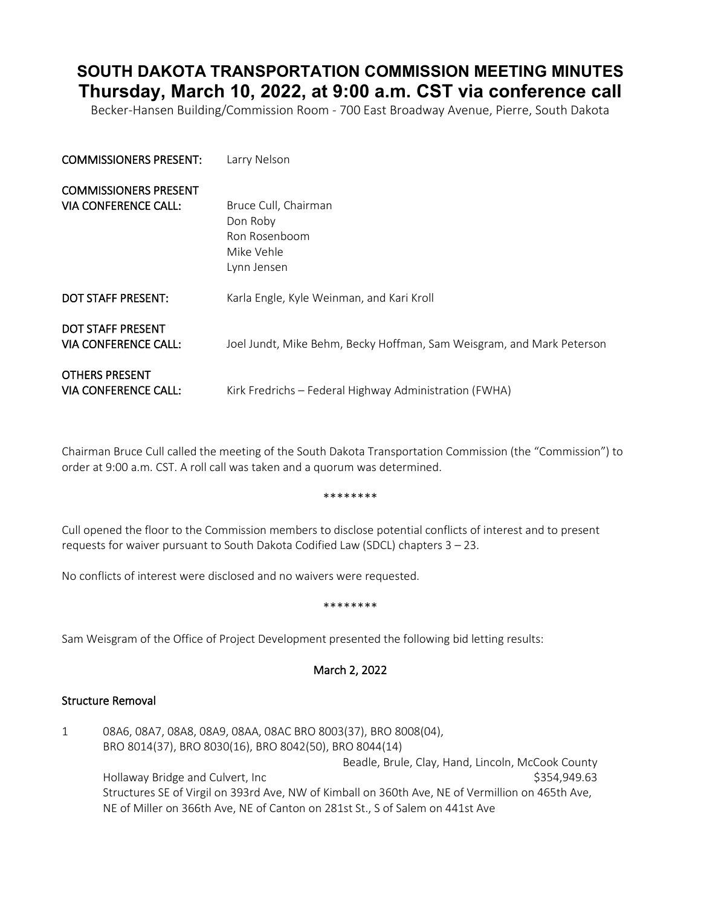# **SOUTH DAKOTA TRANSPORTATION COMMISSION MEETING MINUTES Thursday, March 10, 2022, at 9:00 a.m. CST via conference call**

Becker-Hansen Building/Commission Room - 700 East Broadway Avenue, Pierre, South Dakota

| <b>COMMISSIONERS PRESENT:</b>                    | Larry Nelson                                                          |
|--------------------------------------------------|-----------------------------------------------------------------------|
| <b>COMMISSIONERS PRESENT</b>                     |                                                                       |
| VIA CONFERENCE CALL:                             | Bruce Cull, Chairman<br>Don Roby                                      |
|                                                  | Ron Rosenboom<br>Mike Vehle                                           |
|                                                  | Lynn Jensen                                                           |
| <b>DOT STAFF PRESENT:</b>                        | Karla Engle, Kyle Weinman, and Kari Kroll                             |
| <b>DOT STAFF PRESENT</b><br>VIA CONFERENCE CALL: | Joel Jundt, Mike Behm, Becky Hoffman, Sam Weisgram, and Mark Peterson |
| <b>OTHERS PRESENT</b><br>VIA CONFERENCE CALL:    | Kirk Fredrichs - Federal Highway Administration (FWHA)                |

Chairman Bruce Cull called the meeting of the South Dakota Transportation Commission (the "Commission") to order at 9:00 a.m. CST. A roll call was taken and a quorum was determined.

#### \*\*\*\*\*\*\*\*

Cull opened the floor to the Commission members to disclose potential conflicts of interest and to present requests for waiver pursuant to South Dakota Codified Law (SDCL) chapters 3 – 23.

No conflicts of interest were disclosed and no waivers were requested.

#### \*\*\*\*\*\*\*\*

Sam Weisgram of the Office of Project Development presented the following bid letting results:

## March 2, 2022

#### Structure Removal

1 08A6, 08A7, 08A8, 08A9, 08AA, 08AC BRO 8003(37), BRO 8008(04), BRO 8014(37), BRO 8030(16), BRO 8042(50), BRO 8044(14) Beadle, Brule, Clay, Hand, Lincoln, McCook County Hollaway Bridge and Culvert, Inc  $$354,949.63$ Structures SE of Virgil on 393rd Ave, NW of Kimball on 360th Ave, NE of Vermillion on 465th Ave, NE of Miller on 366th Ave, NE of Canton on 281st St., S of Salem on 441st Ave